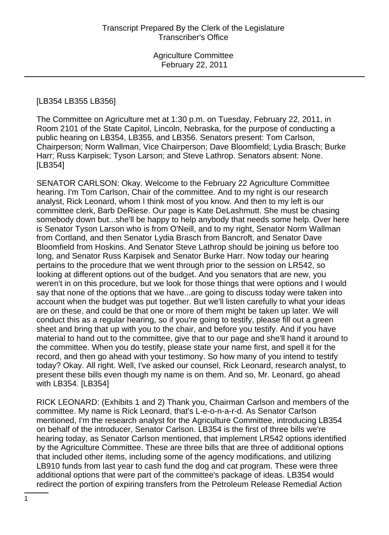#### [LB354 LB355 LB356]

The Committee on Agriculture met at 1:30 p.m. on Tuesday, February 22, 2011, in Room 2101 of the State Capitol, Lincoln, Nebraska, for the purpose of conducting a public hearing on LB354, LB355, and LB356. Senators present: Tom Carlson, Chairperson; Norm Wallman, Vice Chairperson; Dave Bloomfield; Lydia Brasch; Burke Harr; Russ Karpisek; Tyson Larson; and Steve Lathrop. Senators absent: None. [LB354]

SENATOR CARLSON: Okay. Welcome to the February 22 Agriculture Committee hearing. I'm Tom Carlson, Chair of the committee. And to my right is our research analyst, Rick Leonard, whom I think most of you know. And then to my left is our committee clerk, Barb DeRiese. Our page is Kate DeLashmutt. She must be chasing somebody down but...she'll be happy to help anybody that needs some help. Over here is Senator Tyson Larson who is from O'Neill, and to my right, Senator Norm Wallman from Cortland, and then Senator Lydia Brasch from Bancroft, and Senator Dave Bloomfield from Hoskins. And Senator Steve Lathrop should be joining us before too long, and Senator Russ Karpisek and Senator Burke Harr. Now today our hearing pertains to the procedure that we went through prior to the session on LR542, so looking at different options out of the budget. And you senators that are new, you weren't in on this procedure, but we look for those things that were options and I would say that none of the options that we have...are going to discuss today were taken into account when the budget was put together. But we'll listen carefully to what your ideas are on these, and could be that one or more of them might be taken up later. We will conduct this as a regular hearing, so if you're going to testify, please fill out a green sheet and bring that up with you to the chair, and before you testify. And if you have material to hand out to the committee, give that to our page and she'll hand it around to the committee. When you do testify, please state your name first, and spell it for the record, and then go ahead with your testimony. So how many of you intend to testify today? Okay. All right. Well, I've asked our counsel, Rick Leonard, research analyst, to present these bills even though my name is on them. And so, Mr. Leonard, go ahead with LB354. [LB354]

RICK LEONARD: (Exhibits 1 and 2) Thank you, Chairman Carlson and members of the committee. My name is Rick Leonard, that's L-e-o-n-a-r-d. As Senator Carlson mentioned, I'm the research analyst for the Agriculture Committee, introducing LB354 on behalf of the introducer, Senator Carlson. LB354 is the first of three bills we're hearing today, as Senator Carlson mentioned, that implement LR542 options identified by the Agriculture Committee. These are three bills that are three of additional options that included other items, including some of the agency modifications, and utilizing LB910 funds from last year to cash fund the dog and cat program. These were three additional options that were part of the committee's package of ideas. LB354 would redirect the portion of expiring transfers from the Petroleum Release Remedial Action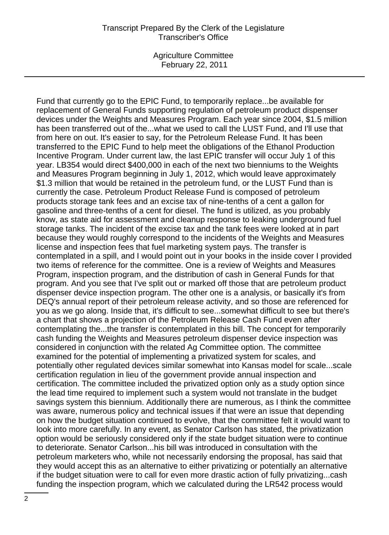Agriculture Committee February 22, 2011

Fund that currently go to the EPIC Fund, to temporarily replace...be available for replacement of General Funds supporting regulation of petroleum product dispenser devices under the Weights and Measures Program. Each year since 2004, \$1.5 million has been transferred out of the...what we used to call the LUST Fund, and I'll use that from here on out. It's easier to say, for the Petroleum Release Fund. It has been transferred to the EPIC Fund to help meet the obligations of the Ethanol Production Incentive Program. Under current law, the last EPIC transfer will occur July 1 of this year. LB354 would direct \$400,000 in each of the next two bienniums to the Weights and Measures Program beginning in July 1, 2012, which would leave approximately \$1.3 million that would be retained in the petroleum fund, or the LUST Fund than is currently the case. Petroleum Product Release Fund is composed of petroleum products storage tank fees and an excise tax of nine-tenths of a cent a gallon for gasoline and three-tenths of a cent for diesel. The fund is utilized, as you probably know, as state aid for assessment and cleanup response to leaking underground fuel storage tanks. The incident of the excise tax and the tank fees were looked at in part because they would roughly correspond to the incidents of the Weights and Measures license and inspection fees that fuel marketing system pays. The transfer is contemplated in a spill, and I would point out in your books in the inside cover I provided two items of reference for the committee. One is a review of Weights and Measures Program, inspection program, and the distribution of cash in General Funds for that program. And you see that I've split out or marked off those that are petroleum product dispenser device inspection program. The other one is a analysis, or basically it's from DEQ's annual report of their petroleum release activity, and so those are referenced for you as we go along. Inside that, it's difficult to see...somewhat difficult to see but there's a chart that shows a projection of the Petroleum Release Cash Fund even after contemplating the...the transfer is contemplated in this bill. The concept for temporarily cash funding the Weights and Measures petroleum dispenser device inspection was considered in conjunction with the related Ag Committee option. The committee examined for the potential of implementing a privatized system for scales, and potentially other regulated devices similar somewhat into Kansas model for scale...scale certification regulation in lieu of the government provide annual inspection and certification. The committee included the privatized option only as a study option since the lead time required to implement such a system would not translate in the budget savings system this biennium. Additionally there are numerous, as I think the committee was aware, numerous policy and technical issues if that were an issue that depending on how the budget situation continued to evolve, that the committee felt it would want to look into more carefully. In any event, as Senator Carlson has stated, the privatization option would be seriously considered only if the state budget situation were to continue to deteriorate. Senator Carlson...his bill was introduced in consultation with the petroleum marketers who, while not necessarily endorsing the proposal, has said that they would accept this as an alternative to either privatizing or potentially an alternative if the budget situation were to call for even more drastic action of fully privatizing...cash funding the inspection program, which we calculated during the LR542 process would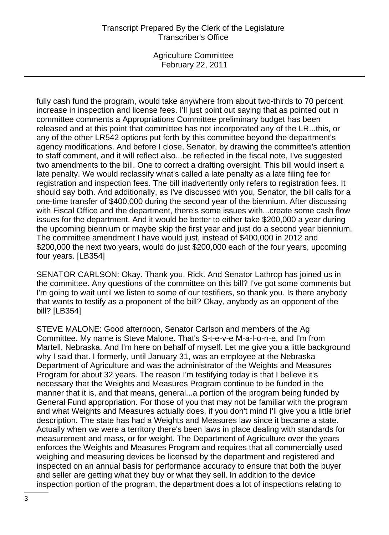Agriculture Committee February 22, 2011

fully cash fund the program, would take anywhere from about two-thirds to 70 percent increase in inspection and license fees. I'll just point out saying that as pointed out in committee comments a Appropriations Committee preliminary budget has been released and at this point that committee has not incorporated any of the LR...this, or any of the other LR542 options put forth by this committee beyond the department's agency modifications. And before I close, Senator, by drawing the committee's attention to staff comment, and it will reflect also...be reflected in the fiscal note, I've suggested two amendments to the bill. One to correct a drafting oversight. This bill would insert a late penalty. We would reclassify what's called a late penalty as a late filing fee for registration and inspection fees. The bill inadvertently only refers to registration fees. It should say both. And additionally, as I've discussed with you, Senator, the bill calls for a one-time transfer of \$400,000 during the second year of the biennium. After discussing with Fiscal Office and the department, there's some issues with...create some cash flow issues for the department. And it would be better to either take \$200,000 a year during the upcoming biennium or maybe skip the first year and just do a second year biennium. The committee amendment I have would just, instead of \$400,000 in 2012 and \$200,000 the next two years, would do just \$200,000 each of the four years, upcoming four years. [LB354]

SENATOR CARLSON: Okay. Thank you, Rick. And Senator Lathrop has joined us in the committee. Any questions of the committee on this bill? I've got some comments but I'm going to wait until we listen to some of our testifiers, so thank you. Is there anybody that wants to testify as a proponent of the bill? Okay, anybody as an opponent of the bill? [LB354]

STEVE MALONE: Good afternoon, Senator Carlson and members of the Ag Committee. My name is Steve Malone. That's S-t-e-v-e M-a-l-o-n-e, and I'm from Martell, Nebraska. And I'm here on behalf of myself. Let me give you a little background why I said that. I formerly, until January 31, was an employee at the Nebraska Department of Agriculture and was the administrator of the Weights and Measures Program for about 32 years. The reason I'm testifying today is that I believe it's necessary that the Weights and Measures Program continue to be funded in the manner that it is, and that means, general...a portion of the program being funded by General Fund appropriation. For those of you that may not be familiar with the program and what Weights and Measures actually does, if you don't mind I'll give you a little brief description. The state has had a Weights and Measures law since it became a state. Actually when we were a territory there's been laws in place dealing with standards for measurement and mass, or for weight. The Department of Agriculture over the years enforces the Weights and Measures Program and requires that all commercially used weighing and measuring devices be licensed by the department and registered and inspected on an annual basis for performance accuracy to ensure that both the buyer and seller are getting what they buy or what they sell. In addition to the device inspection portion of the program, the department does a lot of inspections relating to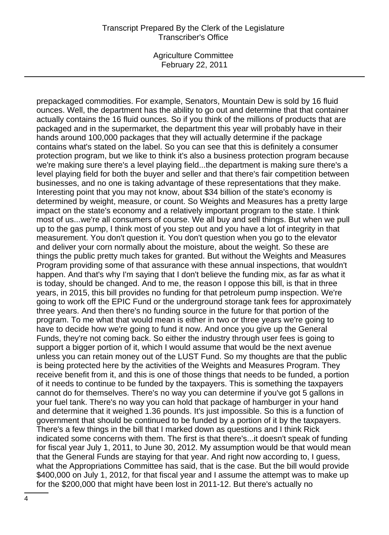Agriculture Committee February 22, 2011

prepackaged commodities. For example, Senators, Mountain Dew is sold by 16 fluid ounces. Well, the department has the ability to go out and determine that that container actually contains the 16 fluid ounces. So if you think of the millions of products that are packaged and in the supermarket, the department this year will probably have in their hands around 100,000 packages that they will actually determine if the package contains what's stated on the label. So you can see that this is definitely a consumer protection program, but we like to think it's also a business protection program because we're making sure there's a level playing field...the department is making sure there's a level playing field for both the buyer and seller and that there's fair competition between businesses, and no one is taking advantage of these representations that they make. Interesting point that you may not know, about \$34 billion of the state's economy is determined by weight, measure, or count. So Weights and Measures has a pretty large impact on the state's economy and a relatively important program to the state. I think most of us...we're all consumers of course. We all buy and sell things. But when we pull up to the gas pump, I think most of you step out and you have a lot of integrity in that measurement. You don't question it. You don't question when you go to the elevator and deliver your corn normally about the moisture, about the weight. So these are things the public pretty much takes for granted. But without the Weights and Measures Program providing some of that assurance with these annual inspections, that wouldn't happen. And that's why I'm saying that I don't believe the funding mix, as far as what it is today, should be changed. And to me, the reason I oppose this bill, is that in three years, in 2015, this bill provides no funding for that petroleum pump inspection. We're going to work off the EPIC Fund or the underground storage tank fees for approximately three years. And then there's no funding source in the future for that portion of the program. To me what that would mean is either in two or three years we're going to have to decide how we're going to fund it now. And once you give up the General Funds, they're not coming back. So either the industry through user fees is going to support a bigger portion of it, which I would assume that would be the next avenue unless you can retain money out of the LUST Fund. So my thoughts are that the public is being protected here by the activities of the Weights and Measures Program. They receive benefit from it, and this is one of those things that needs to be funded, a portion of it needs to continue to be funded by the taxpayers. This is something the taxpayers cannot do for themselves. There's no way you can determine if you've got 5 gallons in your fuel tank. There's no way you can hold that package of hamburger in your hand and determine that it weighed 1.36 pounds. It's just impossible. So this is a function of government that should be continued to be funded by a portion of it by the taxpayers. There's a few things in the bill that I marked down as questions and I think Rick indicated some concerns with them. The first is that there's...it doesn't speak of funding for fiscal year July 1, 2011, to June 30, 2012. My assumption would be that would mean that the General Funds are staying for that year. And right now according to, I guess, what the Appropriations Committee has said, that is the case. But the bill would provide \$400,000 on July 1, 2012, for that fiscal year and I assume the attempt was to make up for the \$200,000 that might have been lost in 2011-12. But there's actually no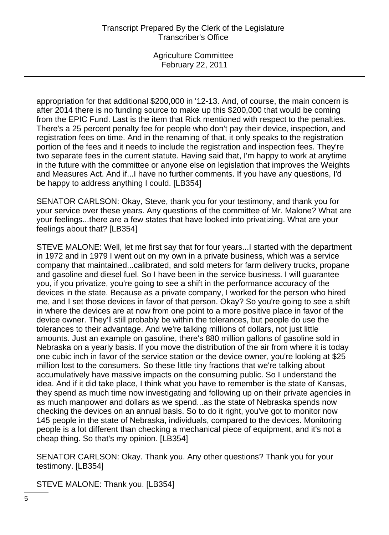appropriation for that additional \$200,000 in '12-13. And, of course, the main concern is after 2014 there is no funding source to make up this \$200,000 that would be coming from the EPIC Fund. Last is the item that Rick mentioned with respect to the penalties. There's a 25 percent penalty fee for people who don't pay their device, inspection, and registration fees on time. And in the renaming of that, it only speaks to the registration portion of the fees and it needs to include the registration and inspection fees. They're two separate fees in the current statute. Having said that, I'm happy to work at anytime in the future with the committee or anyone else on legislation that improves the Weights and Measures Act. And if...I have no further comments. If you have any questions, I'd be happy to address anything I could. [LB354]

SENATOR CARLSON: Okay, Steve, thank you for your testimony, and thank you for your service over these years. Any questions of the committee of Mr. Malone? What are your feelings...there are a few states that have looked into privatizing. What are your feelings about that? [LB354]

STEVE MALONE: Well, let me first say that for four years...I started with the department in 1972 and in 1979 I went out on my own in a private business, which was a service company that maintained...calibrated, and sold meters for farm delivery trucks, propane and gasoline and diesel fuel. So I have been in the service business. I will guarantee you, if you privatize, you're going to see a shift in the performance accuracy of the devices in the state. Because as a private company, I worked for the person who hired me, and I set those devices in favor of that person. Okay? So you're going to see a shift in where the devices are at now from one point to a more positive place in favor of the device owner. They'll still probably be within the tolerances, but people do use the tolerances to their advantage. And we're talking millions of dollars, not just little amounts. Just an example on gasoline, there's 880 million gallons of gasoline sold in Nebraska on a yearly basis. If you move the distribution of the air from where it is today one cubic inch in favor of the service station or the device owner, you're looking at \$25 million lost to the consumers. So these little tiny fractions that we're talking about accumulatively have massive impacts on the consuming public. So I understand the idea. And if it did take place, I think what you have to remember is the state of Kansas, they spend as much time now investigating and following up on their private agencies in as much manpower and dollars as we spend...as the state of Nebraska spends now checking the devices on an annual basis. So to do it right, you've got to monitor now 145 people in the state of Nebraska, individuals, compared to the devices. Monitoring people is a lot different than checking a mechanical piece of equipment, and it's not a cheap thing. So that's my opinion. [LB354]

SENATOR CARLSON: Okay. Thank you. Any other questions? Thank you for your testimony. [LB354]

STEVE MALONE: Thank you. [LB354]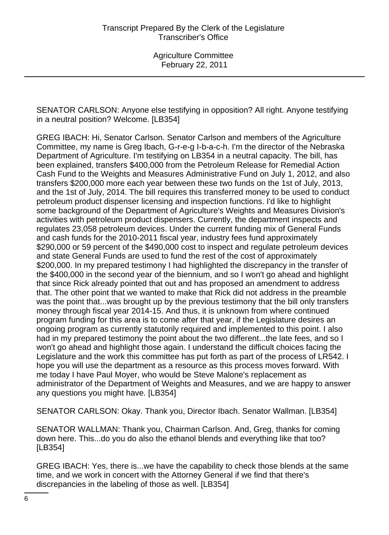SENATOR CARLSON: Anyone else testifying in opposition? All right. Anyone testifying in a neutral position? Welcome. [LB354]

GREG IBACH: Hi, Senator Carlson. Senator Carlson and members of the Agriculture Committee, my name is Greg Ibach, G-r-e-g I-b-a-c-h. I'm the director of the Nebraska Department of Agriculture. I'm testifying on LB354 in a neutral capacity. The bill, has been explained, transfers \$400,000 from the Petroleum Release for Remedial Action Cash Fund to the Weights and Measures Administrative Fund on July 1, 2012, and also transfers \$200,000 more each year between these two funds on the 1st of July, 2013, and the 1st of July, 2014. The bill requires this transferred money to be used to conduct petroleum product dispenser licensing and inspection functions. I'd like to highlight some background of the Department of Agriculture's Weights and Measures Division's activities with petroleum product dispensers. Currently, the department inspects and regulates 23,058 petroleum devices. Under the current funding mix of General Funds and cash funds for the 2010-2011 fiscal year, industry fees fund approximately \$290,000 or 59 percent of the \$490,000 cost to inspect and regulate petroleum devices and state General Funds are used to fund the rest of the cost of approximately \$200,000. In my prepared testimony I had highlighted the discrepancy in the transfer of the \$400,000 in the second year of the biennium, and so I won't go ahead and highlight that since Rick already pointed that out and has proposed an amendment to address that. The other point that we wanted to make that Rick did not address in the preamble was the point that...was brought up by the previous testimony that the bill only transfers money through fiscal year 2014-15. And thus, it is unknown from where continued program funding for this area is to come after that year, if the Legislature desires an ongoing program as currently statutorily required and implemented to this point. I also had in my prepared testimony the point about the two different...the late fees, and so I won't go ahead and highlight those again. I understand the difficult choices facing the Legislature and the work this committee has put forth as part of the process of LR542. I hope you will use the department as a resource as this process moves forward. With me today I have Paul Moyer, who would be Steve Malone's replacement as administrator of the Department of Weights and Measures, and we are happy to answer any questions you might have. [LB354]

SENATOR CARLSON: Okay. Thank you, Director Ibach. Senator Wallman. [LB354]

SENATOR WALLMAN: Thank you, Chairman Carlson. And, Greg, thanks for coming down here. This...do you do also the ethanol blends and everything like that too? [LB354]

GREG IBACH: Yes, there is...we have the capability to check those blends at the same time, and we work in concert with the Attorney General if we find that there's discrepancies in the labeling of those as well. [LB354]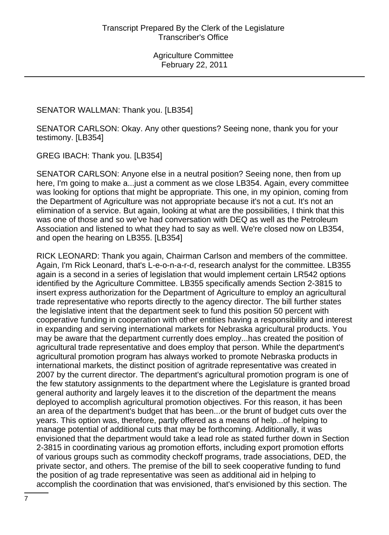SENATOR WALLMAN: Thank you. [LB354]

SENATOR CARLSON: Okay. Any other questions? Seeing none, thank you for your testimony. [LB354]

GREG IBACH: Thank you. [LB354]

SENATOR CARLSON: Anyone else in a neutral position? Seeing none, then from up here, I'm going to make a...just a comment as we close LB354. Again, every committee was looking for options that might be appropriate. This one, in my opinion, coming from the Department of Agriculture was not appropriate because it's not a cut. It's not an elimination of a service. But again, looking at what are the possibilities, I think that this was one of those and so we've had conversation with DEQ as well as the Petroleum Association and listened to what they had to say as well. We're closed now on LB354, and open the hearing on LB355. [LB354]

RICK LEONARD: Thank you again, Chairman Carlson and members of the committee. Again, I'm Rick Leonard, that's L-e-o-n-a-r-d, research analyst for the committee. LB355 again is a second in a series of legislation that would implement certain LR542 options identified by the Agriculture Committee. LB355 specifically amends Section 2-3815 to insert express authorization for the Department of Agriculture to employ an agricultural trade representative who reports directly to the agency director. The bill further states the legislative intent that the department seek to fund this position 50 percent with cooperative funding in cooperation with other entities having a responsibility and interest in expanding and serving international markets for Nebraska agricultural products. You may be aware that the department currently does employ...has created the position of agricultural trade representative and does employ that person. While the department's agricultural promotion program has always worked to promote Nebraska products in international markets, the distinct position of agritrade representative was created in 2007 by the current director. The department's agricultural promotion program is one of the few statutory assignments to the department where the Legislature is granted broad general authority and largely leaves it to the discretion of the department the means deployed to accomplish agricultural promotion objectives. For this reason, it has been an area of the department's budget that has been...or the brunt of budget cuts over the years. This option was, therefore, partly offered as a means of help...of helping to manage potential of additional cuts that may be forthcoming. Additionally, it was envisioned that the department would take a lead role as stated further down in Section 2-3815 in coordinating various ag promotion efforts, including export promotion efforts of various groups such as commodity checkoff programs, trade associations, DED, the private sector, and others. The premise of the bill to seek cooperative funding to fund the position of ag trade representative was seen as additional aid in helping to accomplish the coordination that was envisioned, that's envisioned by this section. The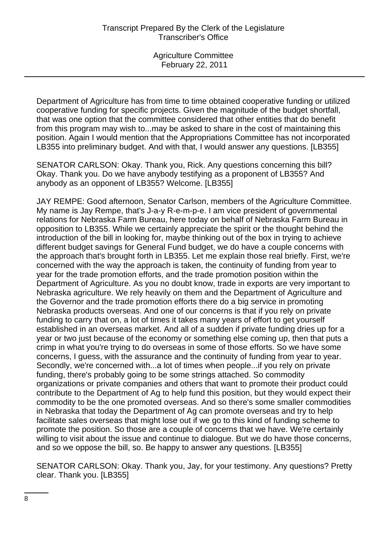Department of Agriculture has from time to time obtained cooperative funding or utilized cooperative funding for specific projects. Given the magnitude of the budget shortfall, that was one option that the committee considered that other entities that do benefit from this program may wish to...may be asked to share in the cost of maintaining this position. Again I would mention that the Appropriations Committee has not incorporated LB355 into preliminary budget. And with that, I would answer any questions. [LB355]

SENATOR CARLSON: Okay. Thank you, Rick. Any questions concerning this bill? Okay. Thank you. Do we have anybody testifying as a proponent of LB355? And anybody as an opponent of LB355? Welcome. [LB355]

JAY REMPE: Good afternoon, Senator Carlson, members of the Agriculture Committee. My name is Jay Rempe, that's J-a-y R-e-m-p-e. I am vice president of governmental relations for Nebraska Farm Bureau, here today on behalf of Nebraska Farm Bureau in opposition to LB355. While we certainly appreciate the spirit or the thought behind the introduction of the bill in looking for, maybe thinking out of the box in trying to achieve different budget savings for General Fund budget, we do have a couple concerns with the approach that's brought forth in LB355. Let me explain those real briefly. First, we're concerned with the way the approach is taken, the continuity of funding from year to year for the trade promotion efforts, and the trade promotion position within the Department of Agriculture. As you no doubt know, trade in exports are very important to Nebraska agriculture. We rely heavily on them and the Department of Agriculture and the Governor and the trade promotion efforts there do a big service in promoting Nebraska products overseas. And one of our concerns is that if you rely on private funding to carry that on, a lot of times it takes many years of effort to get yourself established in an overseas market. And all of a sudden if private funding dries up for a year or two just because of the economy or something else coming up, then that puts a crimp in what you're trying to do overseas in some of those efforts. So we have some concerns, I guess, with the assurance and the continuity of funding from year to year. Secondly, we're concerned with...a lot of times when people...if you rely on private funding, there's probably going to be some strings attached. So commodity organizations or private companies and others that want to promote their product could contribute to the Department of Ag to help fund this position, but they would expect their commodity to be the one promoted overseas. And so there's some smaller commodities in Nebraska that today the Department of Ag can promote overseas and try to help facilitate sales overseas that might lose out if we go to this kind of funding scheme to promote the position. So those are a couple of concerns that we have. We're certainly willing to visit about the issue and continue to dialogue. But we do have those concerns, and so we oppose the bill, so. Be happy to answer any questions. [LB355]

SENATOR CARLSON: Okay. Thank you, Jay, for your testimony. Any questions? Pretty clear. Thank you. [LB355]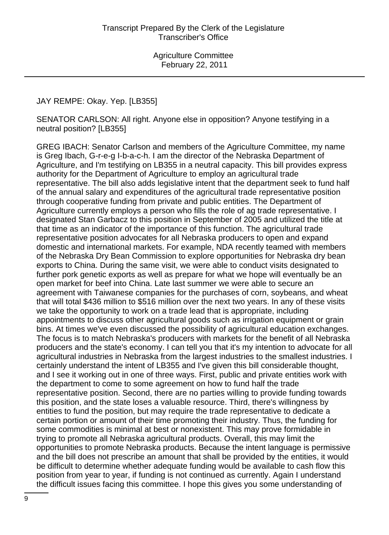#### JAY REMPE: Okay. Yep. [LB355]

SENATOR CARLSON: All right. Anyone else in opposition? Anyone testifying in a neutral position? [LB355]

GREG IBACH: Senator Carlson and members of the Agriculture Committee, my name is Greg Ibach, G-r-e-g I-b-a-c-h. I am the director of the Nebraska Department of Agriculture, and I'm testifying on LB355 in a neutral capacity. This bill provides express authority for the Department of Agriculture to employ an agricultural trade representative. The bill also adds legislative intent that the department seek to fund half of the annual salary and expenditures of the agricultural trade representative position through cooperative funding from private and public entities. The Department of Agriculture currently employs a person who fills the role of ag trade representative. I designated Stan Garbacz to this position in September of 2005 and utilized the title at that time as an indicator of the importance of this function. The agricultural trade representative position advocates for all Nebraska producers to open and expand domestic and international markets. For example, NDA recently teamed with members of the Nebraska Dry Bean Commission to explore opportunities for Nebraska dry bean exports to China. During the same visit, we were able to conduct visits designated to further pork genetic exports as well as prepare for what we hope will eventually be an open market for beef into China. Late last summer we were able to secure an agreement with Taiwanese companies for the purchases of corn, soybeans, and wheat that will total \$436 million to \$516 million over the next two years. In any of these visits we take the opportunity to work on a trade lead that is appropriate, including appointments to discuss other agricultural goods such as irrigation equipment or grain bins. At times we've even discussed the possibility of agricultural education exchanges. The focus is to match Nebraska's producers with markets for the benefit of all Nebraska producers and the state's economy. I can tell you that it's my intention to advocate for all agricultural industries in Nebraska from the largest industries to the smallest industries. I certainly understand the intent of LB355 and I've given this bill considerable thought, and I see it working out in one of three ways. First, public and private entities work with the department to come to some agreement on how to fund half the trade representative position. Second, there are no parties willing to provide funding towards this position, and the state loses a valuable resource. Third, there's willingness by entities to fund the position, but may require the trade representative to dedicate a certain portion or amount of their time promoting their industry. Thus, the funding for some commodities is minimal at best or nonexistent. This may prove formidable in trying to promote all Nebraska agricultural products. Overall, this may limit the opportunities to promote Nebraska products. Because the intent language is permissive and the bill does not prescribe an amount that shall be provided by the entities, it would be difficult to determine whether adequate funding would be available to cash flow this position from year to year, if funding is not continued as currently. Again I understand the difficult issues facing this committee. I hope this gives you some understanding of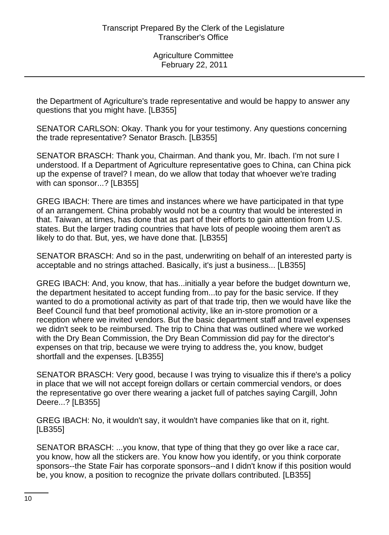the Department of Agriculture's trade representative and would be happy to answer any questions that you might have. [LB355]

SENATOR CARLSON: Okay. Thank you for your testimony. Any questions concerning the trade representative? Senator Brasch. [LB355]

SENATOR BRASCH: Thank you, Chairman. And thank you, Mr. Ibach. I'm not sure I understood. If a Department of Agriculture representative goes to China, can China pick up the expense of travel? I mean, do we allow that today that whoever we're trading with can sponsor...? [LB355]

GREG IBACH: There are times and instances where we have participated in that type of an arrangement. China probably would not be a country that would be interested in that. Taiwan, at times, has done that as part of their efforts to gain attention from U.S. states. But the larger trading countries that have lots of people wooing them aren't as likely to do that. But, yes, we have done that. [LB355]

SENATOR BRASCH: And so in the past, underwriting on behalf of an interested party is acceptable and no strings attached. Basically, it's just a business... [LB355]

GREG IBACH: And, you know, that has...initially a year before the budget downturn we, the department hesitated to accept funding from...to pay for the basic service. If they wanted to do a promotional activity as part of that trade trip, then we would have like the Beef Council fund that beef promotional activity, like an in-store promotion or a reception where we invited vendors. But the basic department staff and travel expenses we didn't seek to be reimbursed. The trip to China that was outlined where we worked with the Dry Bean Commission, the Dry Bean Commission did pay for the director's expenses on that trip, because we were trying to address the, you know, budget shortfall and the expenses. [LB355]

SENATOR BRASCH: Very good, because I was trying to visualize this if there's a policy in place that we will not accept foreign dollars or certain commercial vendors, or does the representative go over there wearing a jacket full of patches saying Cargill, John Deere...? [LB355]

GREG IBACH: No, it wouldn't say, it wouldn't have companies like that on it, right. [LB355]

SENATOR BRASCH: ...you know, that type of thing that they go over like a race car, you know, how all the stickers are. You know how you identify, or you think corporate sponsors--the State Fair has corporate sponsors--and I didn't know if this position would be, you know, a position to recognize the private dollars contributed. [LB355]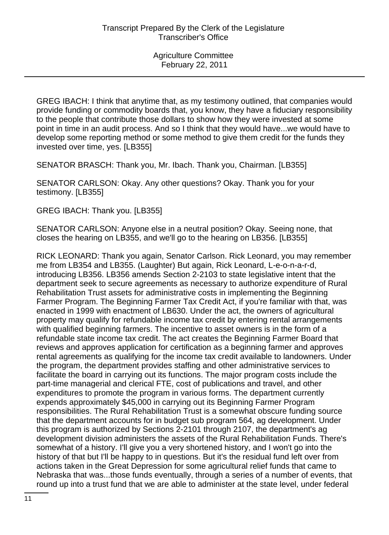GREG IBACH: I think that anytime that, as my testimony outlined, that companies would provide funding or commodity boards that, you know, they have a fiduciary responsibility to the people that contribute those dollars to show how they were invested at some point in time in an audit process. And so I think that they would have...we would have to develop some reporting method or some method to give them credit for the funds they invested over time, yes. [LB355]

SENATOR BRASCH: Thank you, Mr. Ibach. Thank you, Chairman. [LB355]

SENATOR CARLSON: Okay. Any other questions? Okay. Thank you for your testimony. [LB355]

GREG IBACH: Thank you. [LB355]

SENATOR CARLSON: Anyone else in a neutral position? Okay. Seeing none, that closes the hearing on LB355, and we'll go to the hearing on LB356. [LB355]

RICK LEONARD: Thank you again, Senator Carlson. Rick Leonard, you may remember me from LB354 and LB355. (Laughter) But again, Rick Leonard, L-e-o-n-a-r-d, introducing LB356. LB356 amends Section 2-2103 to state legislative intent that the department seek to secure agreements as necessary to authorize expenditure of Rural Rehabilitation Trust assets for administrative costs in implementing the Beginning Farmer Program. The Beginning Farmer Tax Credit Act, if you're familiar with that, was enacted in 1999 with enactment of LB630. Under the act, the owners of agricultural property may qualify for refundable income tax credit by entering rental arrangements with qualified beginning farmers. The incentive to asset owners is in the form of a refundable state income tax credit. The act creates the Beginning Farmer Board that reviews and approves application for certification as a beginning farmer and approves rental agreements as qualifying for the income tax credit available to landowners. Under the program, the department provides staffing and other administrative services to facilitate the board in carrying out its functions. The major program costs include the part-time managerial and clerical FTE, cost of publications and travel, and other expenditures to promote the program in various forms. The department currently expends approximately \$45,000 in carrying out its Beginning Farmer Program responsibilities. The Rural Rehabilitation Trust is a somewhat obscure funding source that the department accounts for in budget sub program 564, ag development. Under this program is authorized by Sections 2-2101 through 2107, the department's ag development division administers the assets of the Rural Rehabilitation Funds. There's somewhat of a history. I'll give you a very shortened history, and I won't go into the history of that but I'll be happy to in questions. But it's the residual fund left over from actions taken in the Great Depression for some agricultural relief funds that came to Nebraska that was...those funds eventually, through a series of a number of events, that round up into a trust fund that we are able to administer at the state level, under federal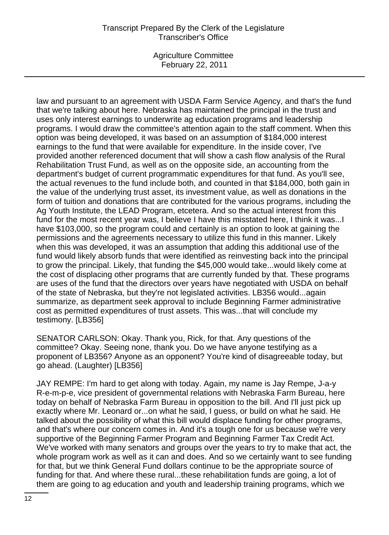Agriculture Committee February 22, 2011

law and pursuant to an agreement with USDA Farm Service Agency, and that's the fund that we're talking about here. Nebraska has maintained the principal in the trust and uses only interest earnings to underwrite ag education programs and leadership programs. I would draw the committee's attention again to the staff comment. When this option was being developed, it was based on an assumption of \$184,000 interest earnings to the fund that were available for expenditure. In the inside cover, I've provided another referenced document that will show a cash flow analysis of the Rural Rehabilitation Trust Fund, as well as on the opposite side, an accounting from the department's budget of current programmatic expenditures for that fund. As you'll see, the actual revenues to the fund include both, and counted in that \$184,000, both gain in the value of the underlying trust asset, its investment value, as well as donations in the form of tuition and donations that are contributed for the various programs, including the Ag Youth Institute, the LEAD Program, etcetera. And so the actual interest from this fund for the most recent year was, I believe I have this misstated here, I think it was...I have \$103,000, so the program could and certainly is an option to look at gaining the permissions and the agreements necessary to utilize this fund in this manner. Likely when this was developed, it was an assumption that adding this additional use of the fund would likely absorb funds that were identified as reinvesting back into the principal to grow the principal. Likely, that funding the \$45,000 would take...would likely come at the cost of displacing other programs that are currently funded by that. These programs are uses of the fund that the directors over years have negotiated with USDA on behalf of the state of Nebraska, but they're not legislated activities. LB356 would...again summarize, as department seek approval to include Beginning Farmer administrative cost as permitted expenditures of trust assets. This was...that will conclude my testimony. [LB356]

SENATOR CARLSON: Okay. Thank you, Rick, for that. Any questions of the committee? Okay. Seeing none, thank you. Do we have anyone testifying as a proponent of LB356? Anyone as an opponent? You're kind of disagreeable today, but go ahead. (Laughter) [LB356]

JAY REMPE: I'm hard to get along with today. Again, my name is Jay Rempe, J-a-y R-e-m-p-e, vice president of governmental relations with Nebraska Farm Bureau, here today on behalf of Nebraska Farm Bureau in opposition to the bill. And I'll just pick up exactly where Mr. Leonard or...on what he said, I guess, or build on what he said. He talked about the possibility of what this bill would displace funding for other programs, and that's where our concern comes in. And it's a tough one for us because we're very supportive of the Beginning Farmer Program and Beginning Farmer Tax Credit Act. We've worked with many senators and groups over the years to try to make that act, the whole program work as well as it can and does. And so we certainly want to see funding for that, but we think General Fund dollars continue to be the appropriate source of funding for that. And where these rural...these rehabilitation funds are going, a lot of them are going to ag education and youth and leadership training programs, which we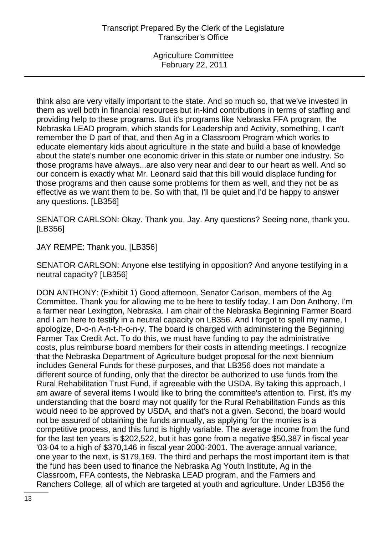think also are very vitally important to the state. And so much so, that we've invested in them as well both in financial resources but in-kind contributions in terms of staffing and providing help to these programs. But it's programs like Nebraska FFA program, the Nebraska LEAD program, which stands for Leadership and Activity, something, I can't remember the D part of that, and then Ag in a Classroom Program which works to educate elementary kids about agriculture in the state and build a base of knowledge about the state's number one economic driver in this state or number one industry. So those programs have always...are also very near and dear to our heart as well. And so our concern is exactly what Mr. Leonard said that this bill would displace funding for those programs and then cause some problems for them as well, and they not be as effective as we want them to be. So with that, I'll be quiet and I'd be happy to answer any questions. [LB356]

SENATOR CARLSON: Okay. Thank you, Jay. Any questions? Seeing none, thank you. [LB356]

JAY REMPE: Thank you. [LB356]

SENATOR CARLSON: Anyone else testifying in opposition? And anyone testifying in a neutral capacity? [LB356]

DON ANTHONY: (Exhibit 1) Good afternoon, Senator Carlson, members of the Ag Committee. Thank you for allowing me to be here to testify today. I am Don Anthony. I'm a farmer near Lexington, Nebraska. I am chair of the Nebraska Beginning Farmer Board and I am here to testify in a neutral capacity on LB356. And I forgot to spell my name, I apologize, D-o-n A-n-t-h-o-n-y. The board is charged with administering the Beginning Farmer Tax Credit Act. To do this, we must have funding to pay the administrative costs, plus reimburse board members for their costs in attending meetings. I recognize that the Nebraska Department of Agriculture budget proposal for the next biennium includes General Funds for these purposes, and that LB356 does not mandate a different source of funding, only that the director be authorized to use funds from the Rural Rehabilitation Trust Fund, if agreeable with the USDA. By taking this approach, I am aware of several items I would like to bring the committee's attention to. First, it's my understanding that the board may not qualify for the Rural Rehabilitation Funds as this would need to be approved by USDA, and that's not a given. Second, the board would not be assured of obtaining the funds annually, as applying for the monies is a competitive process, and this fund is highly variable. The average income from the fund for the last ten years is \$202,522, but it has gone from a negative \$50,387 in fiscal year '03-04 to a high of \$370,146 in fiscal year 2000-2001. The average annual variance, one year to the next, is \$179,169. The third and perhaps the most important item is that the fund has been used to finance the Nebraska Ag Youth Institute, Ag in the Classroom, FFA contests, the Nebraska LEAD program, and the Farmers and Ranchers College, all of which are targeted at youth and agriculture. Under LB356 the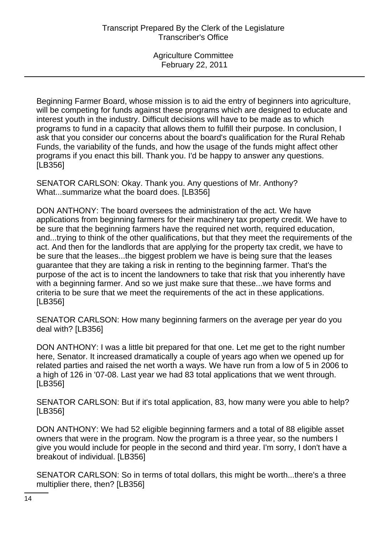Beginning Farmer Board, whose mission is to aid the entry of beginners into agriculture, will be competing for funds against these programs which are designed to educate and interest youth in the industry. Difficult decisions will have to be made as to which programs to fund in a capacity that allows them to fulfill their purpose. In conclusion, I ask that you consider our concerns about the board's qualification for the Rural Rehab Funds, the variability of the funds, and how the usage of the funds might affect other programs if you enact this bill. Thank you. I'd be happy to answer any questions. [LB356]

SENATOR CARLSON: Okay. Thank you. Any questions of Mr. Anthony? What...summarize what the board does. [LB356]

DON ANTHONY: The board oversees the administration of the act. We have applications from beginning farmers for their machinery tax property credit. We have to be sure that the beginning farmers have the required net worth, required education, and...trying to think of the other qualifications, but that they meet the requirements of the act. And then for the landlords that are applying for the property tax credit, we have to be sure that the leases...the biggest problem we have is being sure that the leases guarantee that they are taking a risk in renting to the beginning farmer. That's the purpose of the act is to incent the landowners to take that risk that you inherently have with a beginning farmer. And so we just make sure that these...we have forms and criteria to be sure that we meet the requirements of the act in these applications. [LB356]

SENATOR CARLSON: How many beginning farmers on the average per year do you deal with? [LB356]

DON ANTHONY: I was a little bit prepared for that one. Let me get to the right number here, Senator. It increased dramatically a couple of years ago when we opened up for related parties and raised the net worth a ways. We have run from a low of 5 in 2006 to a high of 126 in '07-08. Last year we had 83 total applications that we went through. [LB356]

SENATOR CARLSON: But if it's total application, 83, how many were you able to help? [LB356]

DON ANTHONY: We had 52 eligible beginning farmers and a total of 88 eligible asset owners that were in the program. Now the program is a three year, so the numbers I give you would include for people in the second and third year. I'm sorry, I don't have a breakout of individual. [LB356]

SENATOR CARLSON: So in terms of total dollars, this might be worth...there's a three multiplier there, then? [LB356]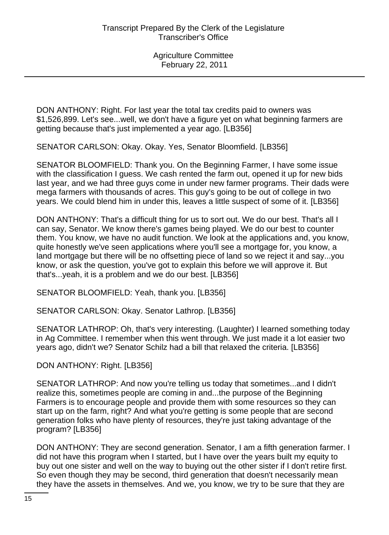DON ANTHONY: Right. For last year the total tax credits paid to owners was \$1,526,899. Let's see...well, we don't have a figure yet on what beginning farmers are getting because that's just implemented a year ago. [LB356]

SENATOR CARLSON: Okay. Okay. Yes, Senator Bloomfield. [LB356]

SENATOR BLOOMFIELD: Thank you. On the Beginning Farmer, I have some issue with the classification I guess. We cash rented the farm out, opened it up for new bids last year, and we had three guys come in under new farmer programs. Their dads were mega farmers with thousands of acres. This guy's going to be out of college in two years. We could blend him in under this, leaves a little suspect of some of it. [LB356]

DON ANTHONY: That's a difficult thing for us to sort out. We do our best. That's all I can say, Senator. We know there's games being played. We do our best to counter them. You know, we have no audit function. We look at the applications and, you know, quite honestly we've seen applications where you'll see a mortgage for, you know, a land mortgage but there will be no offsetting piece of land so we reject it and say...you know, or ask the question, you've got to explain this before we will approve it. But that's...yeah, it is a problem and we do our best. [LB356]

SENATOR BLOOMFIELD: Yeah, thank you. [LB356]

SENATOR CARLSON: Okay. Senator Lathrop. [LB356]

SENATOR LATHROP: Oh, that's very interesting. (Laughter) I learned something today in Ag Committee. I remember when this went through. We just made it a lot easier two years ago, didn't we? Senator Schilz had a bill that relaxed the criteria. [LB356]

DON ANTHONY: Right. [LB356]

SENATOR LATHROP: And now you're telling us today that sometimes...and I didn't realize this, sometimes people are coming in and...the purpose of the Beginning Farmers is to encourage people and provide them with some resources so they can start up on the farm, right? And what you're getting is some people that are second generation folks who have plenty of resources, they're just taking advantage of the program? [LB356]

DON ANTHONY: They are second generation. Senator, I am a fifth generation farmer. I did not have this program when I started, but I have over the years built my equity to buy out one sister and well on the way to buying out the other sister if I don't retire first. So even though they may be second, third generation that doesn't necessarily mean they have the assets in themselves. And we, you know, we try to be sure that they are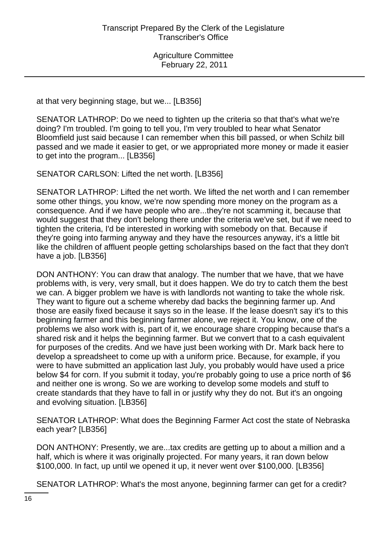at that very beginning stage, but we... [LB356]

SENATOR LATHROP: Do we need to tighten up the criteria so that that's what we're doing? I'm troubled. I'm going to tell you, I'm very troubled to hear what Senator Bloomfield just said because I can remember when this bill passed, or when Schilz bill passed and we made it easier to get, or we appropriated more money or made it easier to get into the program... [LB356]

SENATOR CARLSON: Lifted the net worth. [LB356]

SENATOR LATHROP: Lifted the net worth. We lifted the net worth and I can remember some other things, you know, we're now spending more money on the program as a consequence. And if we have people who are...they're not scamming it, because that would suggest that they don't belong there under the criteria we've set, but if we need to tighten the criteria, I'd be interested in working with somebody on that. Because if they're going into farming anyway and they have the resources anyway, it's a little bit like the children of affluent people getting scholarships based on the fact that they don't have a job. [LB356]

DON ANTHONY: You can draw that analogy. The number that we have, that we have problems with, is very, very small, but it does happen. We do try to catch them the best we can. A bigger problem we have is with landlords not wanting to take the whole risk. They want to figure out a scheme whereby dad backs the beginning farmer up. And those are easily fixed because it says so in the lease. If the lease doesn't say it's to this beginning farmer and this beginning farmer alone, we reject it. You know, one of the problems we also work with is, part of it, we encourage share cropping because that's a shared risk and it helps the beginning farmer. But we convert that to a cash equivalent for purposes of the credits. And we have just been working with Dr. Mark back here to develop a spreadsheet to come up with a uniform price. Because, for example, if you were to have submitted an application last July, you probably would have used a price below \$4 for corn. If you submit it today, you're probably going to use a price north of \$6 and neither one is wrong. So we are working to develop some models and stuff to create standards that they have to fall in or justify why they do not. But it's an ongoing and evolving situation. [LB356]

SENATOR LATHROP: What does the Beginning Farmer Act cost the state of Nebraska each year? [LB356]

DON ANTHONY: Presently, we are...tax credits are getting up to about a million and a half, which is where it was originally projected. For many years, it ran down below \$100,000. In fact, up until we opened it up, it never went over \$100,000. [LB356]

SENATOR LATHROP: What's the most anyone, beginning farmer can get for a credit?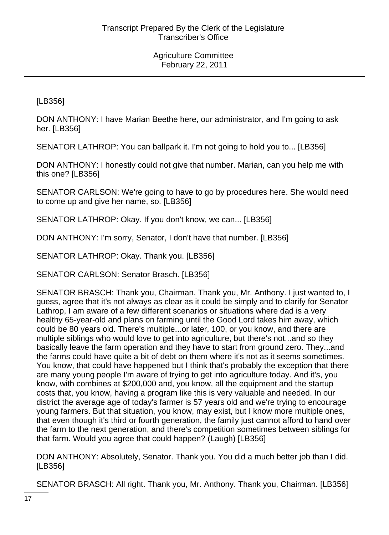[LB356]

DON ANTHONY: I have Marian Beethe here, our administrator, and I'm going to ask her. [LB356]

SENATOR LATHROP: You can ballpark it. I'm not going to hold you to... [LB356]

DON ANTHONY: I honestly could not give that number. Marian, can you help me with this one? [LB356]

SENATOR CARLSON: We're going to have to go by procedures here. She would need to come up and give her name, so. [LB356]

SENATOR LATHROP: Okay. If you don't know, we can... [LB356]

DON ANTHONY: I'm sorry, Senator, I don't have that number. [LB356]

SENATOR LATHROP: Okay. Thank you. [LB356]

SENATOR CARLSON: Senator Brasch. [LB356]

SENATOR BRASCH: Thank you, Chairman. Thank you, Mr. Anthony. I just wanted to, I guess, agree that it's not always as clear as it could be simply and to clarify for Senator Lathrop, I am aware of a few different scenarios or situations where dad is a very healthy 65-year-old and plans on farming until the Good Lord takes him away, which could be 80 years old. There's multiple...or later, 100, or you know, and there are multiple siblings who would love to get into agriculture, but there's not...and so they basically leave the farm operation and they have to start from ground zero. They...and the farms could have quite a bit of debt on them where it's not as it seems sometimes. You know, that could have happened but I think that's probably the exception that there are many young people I'm aware of trying to get into agriculture today. And it's, you know, with combines at \$200,000 and, you know, all the equipment and the startup costs that, you know, having a program like this is very valuable and needed. In our district the average age of today's farmer is 57 years old and we're trying to encourage young farmers. But that situation, you know, may exist, but I know more multiple ones, that even though it's third or fourth generation, the family just cannot afford to hand over the farm to the next generation, and there's competition sometimes between siblings for that farm. Would you agree that could happen? (Laugh) [LB356]

DON ANTHONY: Absolutely, Senator. Thank you. You did a much better job than I did. [LB356]

SENATOR BRASCH: All right. Thank you, Mr. Anthony. Thank you, Chairman. [LB356]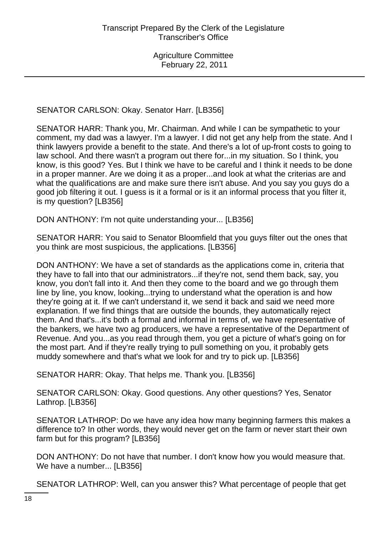SENATOR CARLSON: Okay. Senator Harr. [LB356]

SENATOR HARR: Thank you, Mr. Chairman. And while I can be sympathetic to your comment, my dad was a lawyer. I'm a lawyer. I did not get any help from the state. And I think lawyers provide a benefit to the state. And there's a lot of up-front costs to going to law school. And there wasn't a program out there for...in my situation. So I think, you know, is this good? Yes. But I think we have to be careful and I think it needs to be done in a proper manner. Are we doing it as a proper...and look at what the criterias are and what the qualifications are and make sure there isn't abuse. And you say you guys do a good job filtering it out. I guess is it a formal or is it an informal process that you filter it, is my question? [LB356]

DON ANTHONY: I'm not quite understanding your... [LB356]

SENATOR HARR: You said to Senator Bloomfield that you guys filter out the ones that you think are most suspicious, the applications. [LB356]

DON ANTHONY: We have a set of standards as the applications come in, criteria that they have to fall into that our administrators...if they're not, send them back, say, you know, you don't fall into it. And then they come to the board and we go through them line by line, you know, looking...trying to understand what the operation is and how they're going at it. If we can't understand it, we send it back and said we need more explanation. If we find things that are outside the bounds, they automatically reject them. And that's...it's both a formal and informal in terms of, we have representative of the bankers, we have two ag producers, we have a representative of the Department of Revenue. And you...as you read through them, you get a picture of what's going on for the most part. And if they're really trying to pull something on you, it probably gets muddy somewhere and that's what we look for and try to pick up. [LB356]

SENATOR HARR: Okay. That helps me. Thank you. [LB356]

SENATOR CARLSON: Okay. Good questions. Any other questions? Yes, Senator Lathrop. [LB356]

SENATOR LATHROP: Do we have any idea how many beginning farmers this makes a difference to? In other words, they would never get on the farm or never start their own farm but for this program? [LB356]

DON ANTHONY: Do not have that number. I don't know how you would measure that. We have a number... [LB356]

SENATOR LATHROP: Well, can you answer this? What percentage of people that get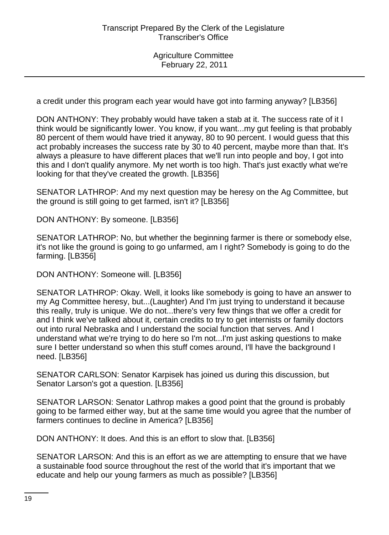a credit under this program each year would have got into farming anyway? [LB356]

DON ANTHONY: They probably would have taken a stab at it. The success rate of it I think would be significantly lower. You know, if you want...my gut feeling is that probably 80 percent of them would have tried it anyway, 80 to 90 percent. I would guess that this act probably increases the success rate by 30 to 40 percent, maybe more than that. It's always a pleasure to have different places that we'll run into people and boy, I got into this and I don't qualify anymore. My net worth is too high. That's just exactly what we're looking for that they've created the growth. [LB356]

SENATOR LATHROP: And my next question may be heresy on the Ag Committee, but the ground is still going to get farmed, isn't it? [LB356]

DON ANTHONY: By someone. [LB356]

SENATOR LATHROP: No, but whether the beginning farmer is there or somebody else, it's not like the ground is going to go unfarmed, am I right? Somebody is going to do the farming. [LB356]

DON ANTHONY: Someone will. [LB356]

SENATOR LATHROP: Okay. Well, it looks like somebody is going to have an answer to my Ag Committee heresy, but...(Laughter) And I'm just trying to understand it because this really, truly is unique. We do not...there's very few things that we offer a credit for and I think we've talked about it, certain credits to try to get internists or family doctors out into rural Nebraska and I understand the social function that serves. And I understand what we're trying to do here so I'm not...I'm just asking questions to make sure I better understand so when this stuff comes around, I'll have the background I need. [LB356]

SENATOR CARLSON: Senator Karpisek has joined us during this discussion, but Senator Larson's got a question. [LB356]

SENATOR LARSON: Senator Lathrop makes a good point that the ground is probably going to be farmed either way, but at the same time would you agree that the number of farmers continues to decline in America? [LB356]

DON ANTHONY: It does. And this is an effort to slow that. [LB356]

SENATOR LARSON: And this is an effort as we are attempting to ensure that we have a sustainable food source throughout the rest of the world that it's important that we educate and help our young farmers as much as possible? [LB356]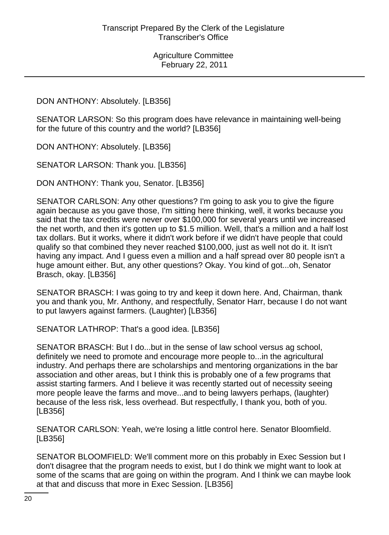## DON ANTHONY: Absolutely. [LB356]

SENATOR LARSON: So this program does have relevance in maintaining well-being for the future of this country and the world? [LB356]

DON ANTHONY: Absolutely. [LB356]

SENATOR LARSON: Thank you. [LB356]

DON ANTHONY: Thank you, Senator. [LB356]

SENATOR CARLSON: Any other questions? I'm going to ask you to give the figure again because as you gave those, I'm sitting here thinking, well, it works because you said that the tax credits were never over \$100,000 for several years until we increased the net worth, and then it's gotten up to \$1.5 million. Well, that's a million and a half lost tax dollars. But it works, where it didn't work before if we didn't have people that could qualify so that combined they never reached \$100,000, just as well not do it. It isn't having any impact. And I guess even a million and a half spread over 80 people isn't a huge amount either. But, any other questions? Okay. You kind of got...oh, Senator Brasch, okay. [LB356]

SENATOR BRASCH: I was going to try and keep it down here. And, Chairman, thank you and thank you, Mr. Anthony, and respectfully, Senator Harr, because I do not want to put lawyers against farmers. (Laughter) [LB356]

SENATOR LATHROP: That's a good idea. [LB356]

SENATOR BRASCH: But I do...but in the sense of law school versus ag school, definitely we need to promote and encourage more people to...in the agricultural industry. And perhaps there are scholarships and mentoring organizations in the bar association and other areas, but I think this is probably one of a few programs that assist starting farmers. And I believe it was recently started out of necessity seeing more people leave the farms and move...and to being lawyers perhaps, (laughter) because of the less risk, less overhead. But respectfully, I thank you, both of you. [LB356]

SENATOR CARLSON: Yeah, we're losing a little control here. Senator Bloomfield. [LB356]

SENATOR BLOOMFIELD: We'll comment more on this probably in Exec Session but I don't disagree that the program needs to exist, but I do think we might want to look at some of the scams that are going on within the program. And I think we can maybe look at that and discuss that more in Exec Session. [LB356]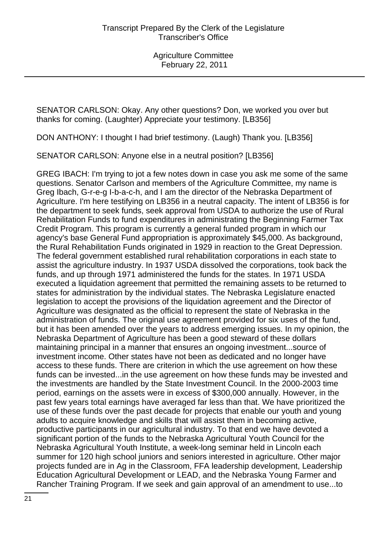SENATOR CARLSON: Okay. Any other questions? Don, we worked you over but thanks for coming. (Laughter) Appreciate your testimony. [LB356]

DON ANTHONY: I thought I had brief testimony. (Laugh) Thank you. [LB356]

SENATOR CARLSON: Anyone else in a neutral position? [LB356]

GREG IBACH: I'm trying to jot a few notes down in case you ask me some of the same questions. Senator Carlson and members of the Agriculture Committee, my name is Greg Ibach, G-r-e-g I-b-a-c-h, and I am the director of the Nebraska Department of Agriculture. I'm here testifying on LB356 in a neutral capacity. The intent of LB356 is for the department to seek funds, seek approval from USDA to authorize the use of Rural Rehabilitation Funds to fund expenditures in administrating the Beginning Farmer Tax Credit Program. This program is currently a general funded program in which our agency's base General Fund appropriation is approximately \$45,000. As background, the Rural Rehabilitation Funds originated in 1929 in reaction to the Great Depression. The federal government established rural rehabilitation corporations in each state to assist the agriculture industry. In 1937 USDA dissolved the corporations, took back the funds, and up through 1971 administered the funds for the states. In 1971 USDA executed a liquidation agreement that permitted the remaining assets to be returned to states for administration by the individual states. The Nebraska Legislature enacted legislation to accept the provisions of the liquidation agreement and the Director of Agriculture was designated as the official to represent the state of Nebraska in the administration of funds. The original use agreement provided for six uses of the fund, but it has been amended over the years to address emerging issues. In my opinion, the Nebraska Department of Agriculture has been a good steward of these dollars maintaining principal in a manner that ensures an ongoing investment...source of investment income. Other states have not been as dedicated and no longer have access to these funds. There are criterion in which the use agreement on how these funds can be invested...in the use agreement on how these funds may be invested and the investments are handled by the State Investment Council. In the 2000-2003 time period, earnings on the assets were in excess of \$300,000 annually. However, in the past few years total earnings have averaged far less than that. We have prioritized the use of these funds over the past decade for projects that enable our youth and young adults to acquire knowledge and skills that will assist them in becoming active, productive participants in our agricultural industry. To that end we have devoted a significant portion of the funds to the Nebraska Agricultural Youth Council for the Nebraska Agricultural Youth Institute, a week-long seminar held in Lincoln each summer for 120 high school juniors and seniors interested in agriculture. Other major projects funded are in Ag in the Classroom, FFA leadership development, Leadership Education Agricultural Development or LEAD, and the Nebraska Young Farmer and Rancher Training Program. If we seek and gain approval of an amendment to use...to